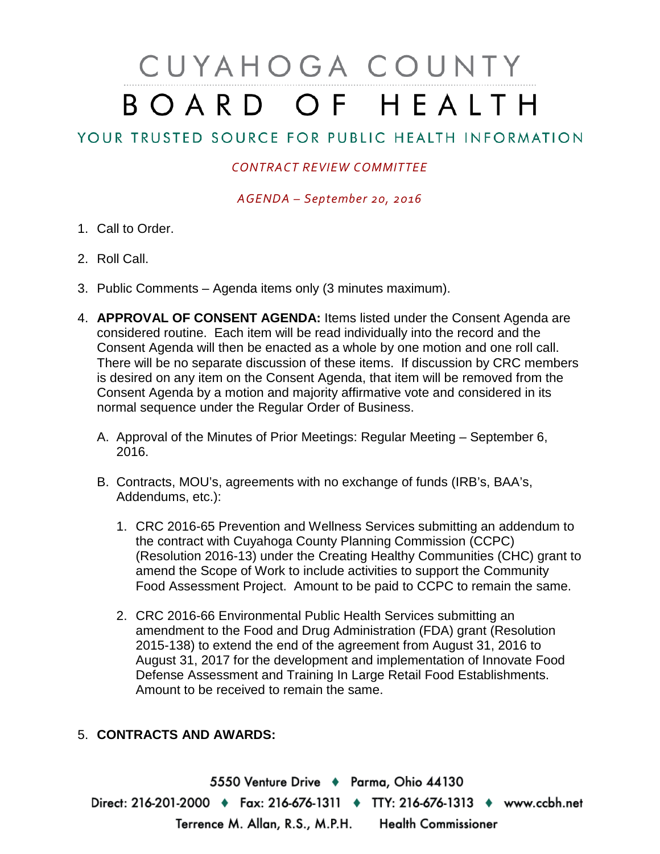## CUYAHOGA COUNTY BOARD OF HEALTH

## YOUR TRUSTED SOURCE FOR PUBLIC HEALTH INFORMATION

## *CONTRACT REVIEW COMMITTEE*

*AGENDA – September 20, 2016*

- 1. Call to Order.
- 2. Roll Call.
- 3. Public Comments Agenda items only (3 minutes maximum).
- 4. **APPROVAL OF CONSENT AGENDA:** Items listed under the Consent Agenda are considered routine. Each item will be read individually into the record and the Consent Agenda will then be enacted as a whole by one motion and one roll call. There will be no separate discussion of these items. If discussion by CRC members is desired on any item on the Consent Agenda, that item will be removed from the Consent Agenda by a motion and majority affirmative vote and considered in its normal sequence under the Regular Order of Business.
	- A. Approval of the Minutes of Prior Meetings: Regular Meeting September 6, 2016.
	- B. Contracts, MOU's, agreements with no exchange of funds (IRB's, BAA's, Addendums, etc.):
		- 1. CRC 2016-65 Prevention and Wellness Services submitting an addendum to the contract with Cuyahoga County Planning Commission (CCPC) (Resolution 2016-13) under the Creating Healthy Communities (CHC) grant to amend the Scope of Work to include activities to support the Community Food Assessment Project. Amount to be paid to CCPC to remain the same.
		- 2. CRC 2016-66 Environmental Public Health Services submitting an amendment to the Food and Drug Administration (FDA) grant (Resolution 2015-138) to extend the end of the agreement from August 31, 2016 to August 31, 2017 for the development and implementation of Innovate Food Defense Assessment and Training In Large Retail Food Establishments. Amount to be received to remain the same.

## 5. **CONTRACTS AND AWARDS:**

5550 Venture Drive + Parma, Ohio 44130 Direct: 216-201-2000 • Fax: 216-676-1311 • TTY: 216-676-1313 • www.ccbh.net Terrence M. Allan, R.S., M.P.H. Health Commissioner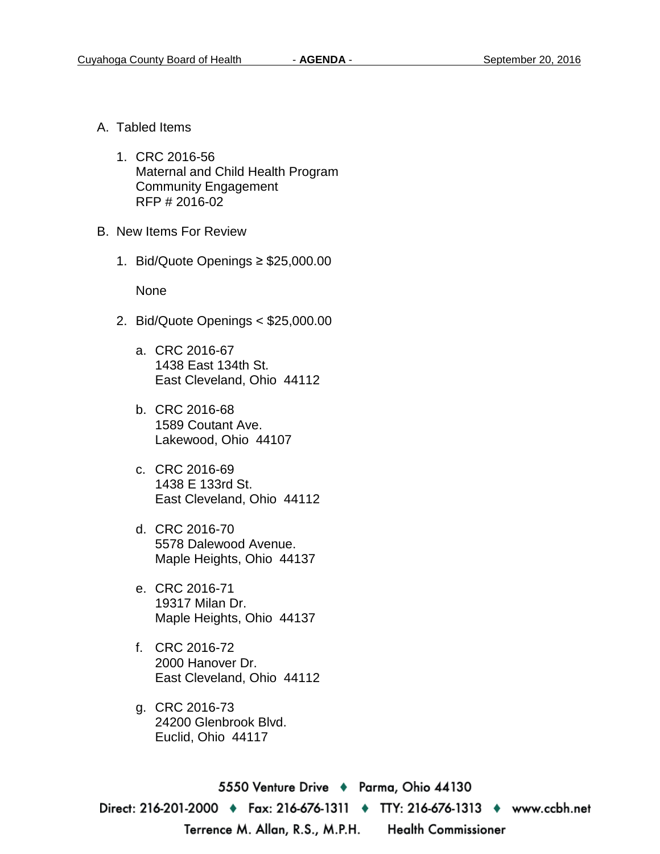- A. Tabled Items
	- 1. CRC 2016-56 Maternal and Child Health Program Community Engagement RFP # 2016-02
- B. New Items For Review
	- 1. Bid/Quote Openings ≥ \$25,000.00

None

- 2. Bid/Quote Openings < \$25,000.00
	- a. CRC 2016-67 1438 East 134th St. East Cleveland, Ohio 44112
	- b. CRC 2016-68 1589 Coutant Ave. Lakewood, Ohio 44107
	- c. CRC 2016-69 1438 E 133rd St. East Cleveland, Ohio 44112
	- d. CRC 2016-70 5578 Dalewood Avenue. Maple Heights, Ohio 44137
	- e. CRC 2016-71 19317 Milan Dr. Maple Heights, Ohio 44137
	- f. CRC 2016-72 2000 Hanover Dr. East Cleveland, Ohio 44112
	- g. CRC 2016-73 24200 Glenbrook Blvd. Euclid, Ohio 44117

5550 Venture Drive + Parma, Ohio 44130 Direct: 216-201-2000 ♦ Fax: 216-676-1311 ♦ TTY: 216-676-1313 ♦ www.ccbh.net Terrence M. Allan, R.S., M.P.H. Health Commissioner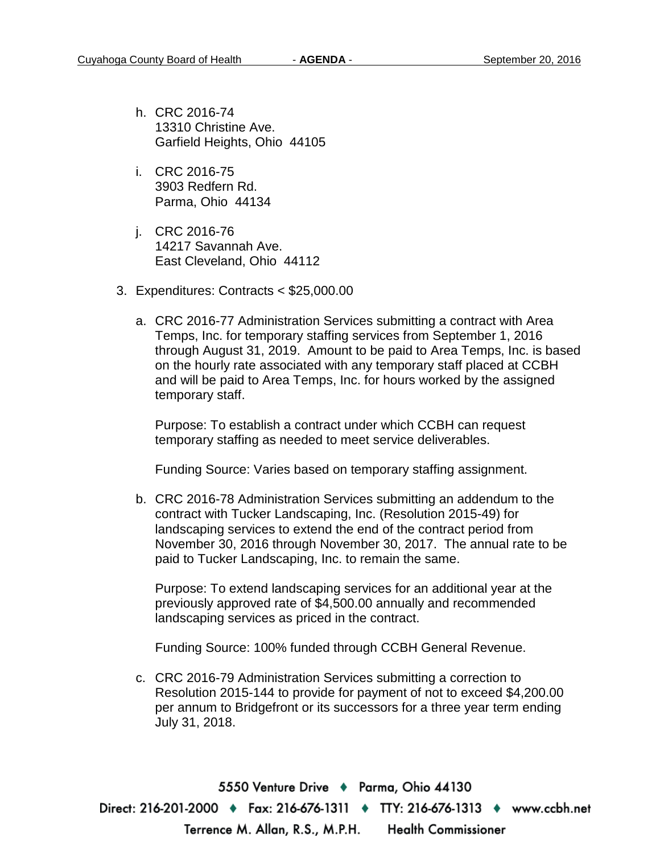- h. CRC 2016-74 13310 Christine Ave. Garfield Heights, Ohio 44105
- i. CRC 2016-75 3903 Redfern Rd. Parma, Ohio 44134
- j. CRC 2016-76 14217 Savannah Ave. East Cleveland, Ohio 44112
- 3. Expenditures: Contracts < \$25,000.00
	- a. CRC 2016-77 Administration Services submitting a contract with Area Temps, Inc. for temporary staffing services from September 1, 2016 through August 31, 2019. Amount to be paid to Area Temps, Inc. is based on the hourly rate associated with any temporary staff placed at CCBH and will be paid to Area Temps, Inc. for hours worked by the assigned temporary staff.

Purpose: To establish a contract under which CCBH can request temporary staffing as needed to meet service deliverables.

Funding Source: Varies based on temporary staffing assignment.

b. CRC 2016-78 Administration Services submitting an addendum to the contract with Tucker Landscaping, Inc. (Resolution 2015-49) for landscaping services to extend the end of the contract period from November 30, 2016 through November 30, 2017. The annual rate to be paid to Tucker Landscaping, Inc. to remain the same.

Purpose: To extend landscaping services for an additional year at the previously approved rate of \$4,500.00 annually and recommended landscaping services as priced in the contract.

Funding Source: 100% funded through CCBH General Revenue.

c. CRC 2016-79 Administration Services submitting a correction to Resolution 2015-144 to provide for payment of not to exceed \$4,200.00 per annum to Bridgefront or its successors for a three year term ending July 31, 2018.

5550 Venture Drive + Parma, Ohio 44130 Direct: 216-201-2000 ♦ Fax: 216-676-1311 ♦ TTY: 216-676-1313 ♦ www.ccbh.net Terrence M. Allan, R.S., M.P.H. Health Commissioner